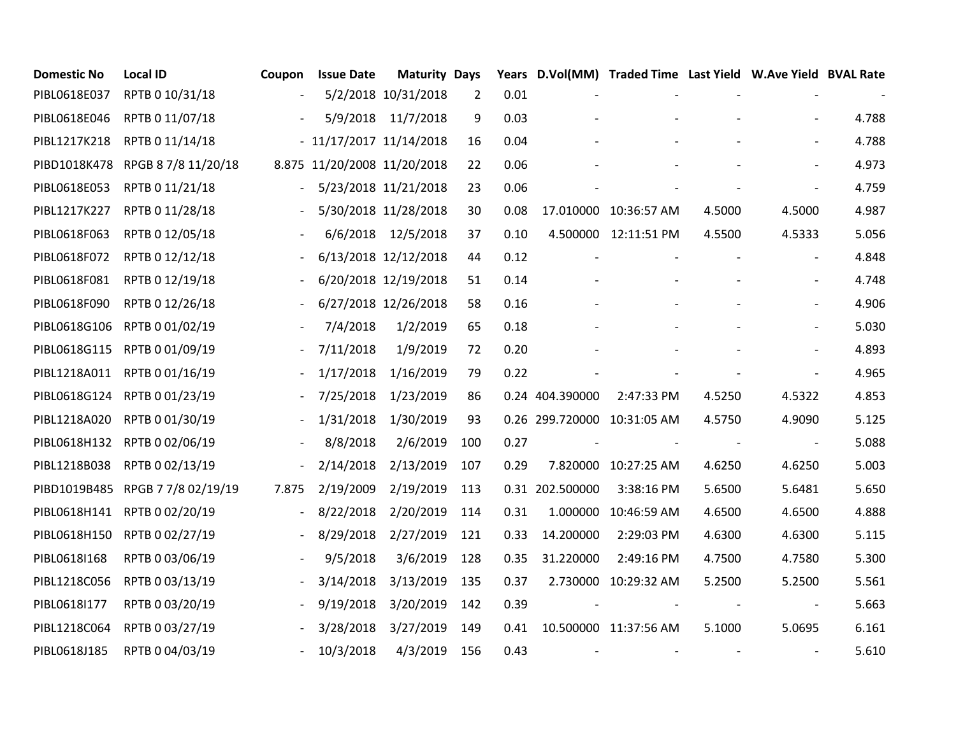| <b>Domestic No</b> | <b>Local ID</b>                  | Coupon                   | <b>Issue Date</b>           | <b>Maturity Days</b> |                |      |                 | Years D.Vol(MM) Traded Time Last Yield W.Ave Yield BVAL Rate |            |                          |       |
|--------------------|----------------------------------|--------------------------|-----------------------------|----------------------|----------------|------|-----------------|--------------------------------------------------------------|------------|--------------------------|-------|
| PIBL0618E037       | RPTB 0 10/31/18                  | $\overline{\phantom{a}}$ |                             | 5/2/2018 10/31/2018  | $\overline{2}$ | 0.01 |                 |                                                              |            |                          |       |
| PIBL0618E046       | RPTB 0 11/07/18                  | $\overline{\phantom{a}}$ |                             | 5/9/2018 11/7/2018   | 9              | 0.03 |                 |                                                              |            | $\overline{\phantom{a}}$ | 4.788 |
| PIBL1217K218       | RPTB 0 11/14/18                  |                          | $-11/17/2017$ $11/14/2018$  |                      | 16             | 0.04 |                 |                                                              |            | $\overline{\phantom{a}}$ | 4.788 |
|                    | PIBD1018K478 RPGB 87/8 11/20/18  |                          | 8.875 11/20/2008 11/20/2018 |                      | 22             | 0.06 |                 |                                                              |            | $\overline{\phantom{a}}$ | 4.973 |
| PIBL0618E053       | RPTB 0 11/21/18                  | $\overline{\phantom{a}}$ |                             | 5/23/2018 11/21/2018 | 23             | 0.06 |                 |                                                              |            | $\overline{\phantom{a}}$ | 4.759 |
| PIBL1217K227       | RPTB 0 11/28/18                  |                          |                             | 5/30/2018 11/28/2018 | 30             | 0.08 |                 | 17.010000 10:36:57 AM                                        | 4.5000     | 4.5000                   | 4.987 |
| PIBL0618F063       | RPTB 0 12/05/18                  |                          |                             | 6/6/2018 12/5/2018   | 37             | 0.10 |                 | 4.500000 12:11:51 PM                                         | 4.5500     | 4.5333                   | 5.056 |
| PIBL0618F072       | RPTB 0 12/12/18                  |                          |                             | 6/13/2018 12/12/2018 | 44             | 0.12 |                 |                                                              |            | $\overline{\phantom{a}}$ | 4.848 |
| PIBL0618F081       | RPTB 0 12/19/18                  |                          |                             | 6/20/2018 12/19/2018 | 51             | 0.14 |                 |                                                              |            | $\overline{\phantom{a}}$ | 4.748 |
| PIBL0618F090       | RPTB 0 12/26/18                  |                          |                             | 6/27/2018 12/26/2018 | 58             | 0.16 |                 |                                                              |            | $\overline{\phantom{a}}$ | 4.906 |
|                    | PIBL0618G106 RPTB 0 01/02/19     |                          | 7/4/2018                    | 1/2/2019             | 65             | 0.18 |                 |                                                              |            | $\overline{\phantom{a}}$ | 5.030 |
|                    | PIBL0618G115 RPTB 0 01/09/19     | $\blacksquare$           | 7/11/2018                   | 1/9/2019             | 72             | 0.20 |                 |                                                              |            |                          | 4.893 |
|                    | PIBL1218A011 RPTB 0 01/16/19     | $\overline{\phantom{a}}$ | 1/17/2018                   | 1/16/2019            | 79             | 0.22 |                 |                                                              |            | $\overline{\phantom{a}}$ | 4.965 |
|                    | PIBL0618G124 RPTB 0 01/23/19     |                          | 7/25/2018                   | 1/23/2019            | 86             |      | 0.24 404.390000 | 2:47:33 PM                                                   | 4.5250     | 4.5322                   | 4.853 |
|                    | PIBL1218A020 RPTB 0 01/30/19     | $\overline{a}$           | 1/31/2018                   | 1/30/2019            | 93             |      |                 | 0.26 299.720000 10:31:05 AM                                  | 4.5750     | 4.9090                   | 5.125 |
|                    | PIBL0618H132 RPTB 0 02/06/19     | $\overline{\phantom{a}}$ | 8/8/2018                    | 2/6/2019             | 100            | 0.27 |                 |                                                              | $\sim$ $-$ | $\overline{\phantom{a}}$ | 5.088 |
| PIBL1218B038       | RPTB 0 02/13/19                  | $\overline{\phantom{a}}$ | 2/14/2018                   | 2/13/2019            | 107            | 0.29 |                 | 7.820000 10:27:25 AM                                         | 4.6250     | 4.6250                   | 5.003 |
|                    | PIBD1019B485 RPGB 7 7/8 02/19/19 | 7.875                    | 2/19/2009                   | 2/19/2019            | 113            |      | 0.31 202.500000 | 3:38:16 PM                                                   | 5.6500     | 5.6481                   | 5.650 |
|                    | PIBL0618H141 RPTB 0 02/20/19     |                          | 8/22/2018                   | 2/20/2019            | 114            | 0.31 | 1.000000        | 10:46:59 AM                                                  | 4.6500     | 4.6500                   | 4.888 |
|                    | PIBL0618H150 RPTB 0 02/27/19     |                          | 8/29/2018                   | 2/27/2019            | 121            | 0.33 | 14.200000       | 2:29:03 PM                                                   | 4.6300     | 4.6300                   | 5.115 |
| PIBL0618I168       | RPTB 0 03/06/19                  |                          | 9/5/2018                    | 3/6/2019             | 128            | 0.35 | 31.220000       | 2:49:16 PM                                                   | 4.7500     | 4.7580                   | 5.300 |
| PIBL1218C056       | RPTB 0 03/13/19                  |                          | 3/14/2018                   | 3/13/2019            | 135            | 0.37 |                 | 2.730000 10:29:32 AM                                         | 5.2500     | 5.2500                   | 5.561 |
| PIBL0618I177       | RPTB 0 03/20/19                  | $\blacksquare$           | 9/19/2018                   | 3/20/2019            | 142            | 0.39 |                 |                                                              |            | $\overline{\phantom{a}}$ | 5.663 |
| PIBL1218C064       | RPTB 0 03/27/19                  |                          | 3/28/2018                   | 3/27/2019            | 149            | 0.41 |                 | 10.500000 11:37:56 AM                                        | 5.1000     | 5.0695                   | 6.161 |
| PIBL0618J185       | RPTB 0 04/03/19                  |                          | 10/3/2018                   | 4/3/2019             | 156            | 0.43 |                 |                                                              |            | $\overline{\phantom{a}}$ | 5.610 |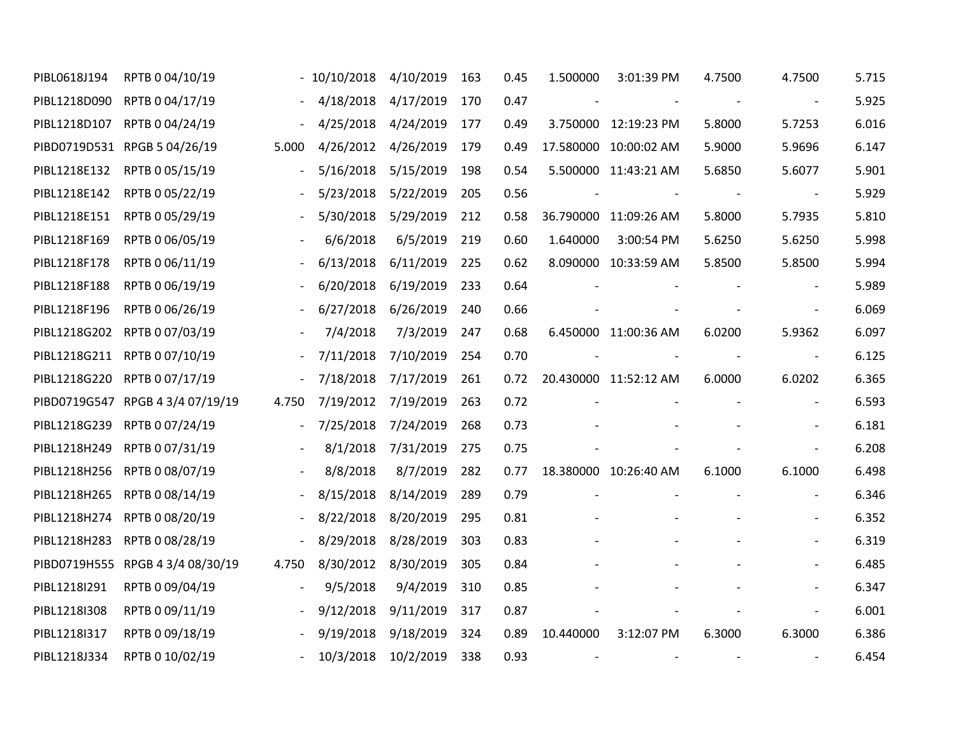| PIBL0618J194 | RPTB 0 04/10/19                  |                          | $-10/10/2018$            | 4/10/2019           | 163 | 0.45 | 1.500000                 | 3:01:39 PM               | 4.7500                   | 4.7500                       | 5.715 |
|--------------|----------------------------------|--------------------------|--------------------------|---------------------|-----|------|--------------------------|--------------------------|--------------------------|------------------------------|-------|
|              | PIBL1218D090 RPTB 0 04/17/19     |                          | 4/18/2018                | 4/17/2019           | 170 | 0.47 | $\overline{\phantom{a}}$ |                          | $\sim$ $-$               | $\overline{\phantom{a}}$     | 5.925 |
|              | PIBL1218D107 RPTB 0 04/24/19     | $\sim$                   | 4/25/2018 4/24/2019      |                     | 177 | 0.49 |                          | 3.750000 12:19:23 PM     | 5.8000                   | 5.7253                       | 6.016 |
|              | PIBD0719D531 RPGB 5 04/26/19     | 5.000                    | 4/26/2012 4/26/2019      |                     | 179 | 0.49 |                          | 17.580000 10:00:02 AM    | 5.9000                   | 5.9696                       | 6.147 |
|              | PIBL1218E132 RPTB 0 05/15/19     |                          | 5/16/2018                | 5/15/2019           | 198 | 0.54 |                          | 5.500000 11:43:21 AM     | 5.6850                   | 5.6077                       | 5.901 |
|              | PIBL1218E142 RPTB 0 05/22/19     | $\overline{\phantom{a}}$ | 5/23/2018                | 5/22/2019           | 205 | 0.56 | $\overline{\phantom{a}}$ |                          |                          | $\blacksquare$               | 5.929 |
|              | PIBL1218E151 RPTB 0 05/29/19     |                          | 5/30/2018                | 5/29/2019           | 212 | 0.58 |                          | 36.790000 11:09:26 AM    | 5.8000                   | 5.7935                       | 5.810 |
|              | PIBL1218F169 RPTB 0 06/05/19     | $\overline{\phantom{a}}$ | 6/6/2018                 | 6/5/2019            | 219 | 0.60 | 1.640000                 | 3:00:54 PM               | 5.6250                   | 5.6250                       | 5.998 |
| PIBL1218F178 | RPTB 0 06/11/19                  |                          | 6/13/2018                | 6/11/2019           | 225 | 0.62 |                          | 8.090000 10:33:59 AM     | 5.8500                   | 5.8500                       | 5.994 |
| PIBL1218F188 | RPTB 0 06/19/19                  | $\overline{\phantom{a}}$ |                          | 6/20/2018 6/19/2019 | 233 | 0.64 |                          |                          |                          | $\overline{\phantom{a}}$     | 5.989 |
| PIBL1218F196 | RPTB 0 06/26/19                  |                          | 6/27/2018                | 6/26/2019           | 240 | 0.66 |                          |                          |                          |                              | 6.069 |
|              | PIBL1218G202 RPTB 0 07/03/19     | $\overline{\phantom{a}}$ | 7/4/2018                 | 7/3/2019            | 247 | 0.68 |                          | 6.450000 11:00:36 AM     | 6.0200                   | 5.9362                       | 6.097 |
|              | PIBL1218G211 RPTB 0 07/10/19     | $\equiv$                 | 7/11/2018                | 7/10/2019           | 254 | 0.70 |                          |                          |                          | $\overline{\phantom{a}}$     | 6.125 |
|              | PIBL1218G220 RPTB 0 07/17/19     | $\blacksquare$           | 7/18/2018                | 7/17/2019           | 261 | 0.72 |                          | 20.430000 11:52:12 AM    | 6.0000                   | 6.0202                       | 6.365 |
|              | PIBD0719G547 RPGB 4 3/4 07/19/19 | 4.750                    | 7/19/2012                | 7/19/2019           | 263 | 0.72 |                          |                          |                          |                              | 6.593 |
|              | PIBL1218G239 RPTB 0 07/24/19     |                          | $-7/25/2018$             | 7/24/2019           | 268 | 0.73 |                          |                          |                          | $\qquad \qquad -$            | 6.181 |
|              | PIBL1218H249 RPTB 0 07/31/19     | $\blacksquare$           | 8/1/2018                 | 7/31/2019           | 275 | 0.75 |                          |                          |                          |                              | 6.208 |
|              | PIBL1218H256 RPTB 0 08/07/19     | $\overline{\phantom{a}}$ | 8/8/2018                 | 8/7/2019            | 282 | 0.77 |                          | 18.380000 10:26:40 AM    | 6.1000                   | 6.1000                       | 6.498 |
|              | PIBL1218H265 RPTB 0 08/14/19     | $\overline{\phantom{a}}$ | 8/15/2018                | 8/14/2019           | 289 | 0.79 |                          |                          |                          | $\overline{\phantom{a}}$     | 6.346 |
|              | PIBL1218H274 RPTB 0 08/20/19     |                          | 8/22/2018                | 8/20/2019           | 295 | 0.81 |                          |                          |                          | $\qquad \qquad \blacksquare$ | 6.352 |
|              | PIBL1218H283 RPTB 0 08/28/19     |                          | - 8/29/2018 8/28/2019    |                     | 303 | 0.83 |                          |                          |                          |                              | 6.319 |
|              | PIBD0719H555 RPGB 4 3/4 08/30/19 | 4.750                    | 8/30/2012 8/30/2019      |                     | 305 | 0.84 |                          |                          |                          |                              | 6.485 |
| PIBL1218I291 | RPTB 0 09/04/19                  | $\Box$                   | 9/5/2018                 | 9/4/2019            | 310 | 0.85 |                          |                          |                          |                              | 6.347 |
| PIBL1218I308 | RPTB 0 09/11/19                  | $\overline{\phantom{a}}$ | 9/12/2018                | 9/11/2019           | 317 | 0.87 |                          |                          |                          |                              | 6.001 |
| PIBL1218I317 | RPTB 0 09/18/19                  | $\overline{\phantom{a}}$ | 9/19/2018                | 9/18/2019           | 324 | 0.89 | 10.440000                | 3:12:07 PM               | 6.3000                   | 6.3000                       | 6.386 |
| PIBL1218J334 | RPTB 0 10/02/19                  |                          | $-10/3/2018$ $10/2/2019$ |                     | 338 | 0.93 |                          | $\overline{\phantom{a}}$ | $\overline{\phantom{a}}$ | $\overline{\phantom{a}}$     | 6.454 |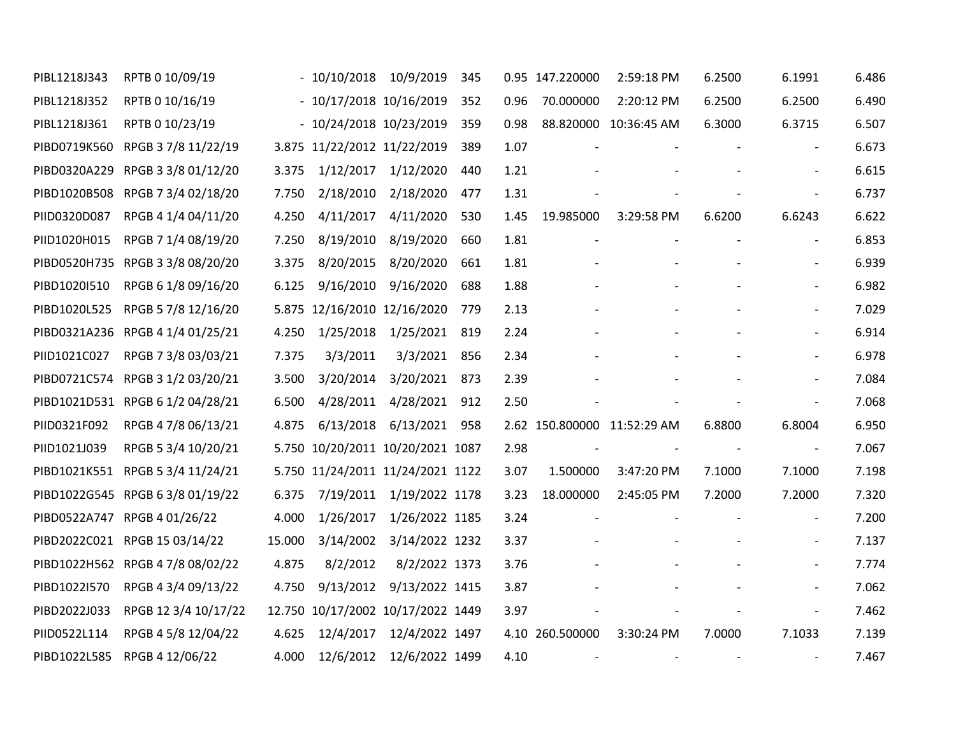| PIBL1218J343 | RPTB 0 10/09/19                  |        | $-10/10/2018$                     | 10/9/2019                | 345 |      | 0.95 147.220000          | 2:59:18 PM                  | 6.2500                   | 6.1991                   | 6.486 |
|--------------|----------------------------------|--------|-----------------------------------|--------------------------|-----|------|--------------------------|-----------------------------|--------------------------|--------------------------|-------|
| PIBL1218J352 | RPTB 0 10/16/19                  |        | $-10/17/2018$ 10/16/2019          |                          | 352 | 0.96 | 70.000000                | 2:20:12 PM                  | 6.2500                   | 6.2500                   | 6.490 |
| PIBL1218J361 | RPTB 0 10/23/19                  |        | $-10/24/2018$ 10/23/2019          |                          | 359 | 0.98 |                          | 88.820000 10:36:45 AM       | 6.3000                   | 6.3715                   | 6.507 |
|              | PIBD0719K560 RPGB 3 7/8 11/22/19 |        | 3.875 11/22/2012 11/22/2019       |                          | 389 | 1.07 |                          |                             |                          | $\blacksquare$           | 6.673 |
|              | PIBD0320A229 RPGB 3 3/8 01/12/20 | 3.375  | 1/12/2017                         | 1/12/2020                | 440 | 1.21 |                          |                             |                          | $\overline{\phantom{a}}$ | 6.615 |
|              | PIBD1020B508 RPGB 7 3/4 02/18/20 | 7.750  |                                   | 2/18/2010 2/18/2020      | 477 | 1.31 |                          |                             |                          | $\overline{\phantom{a}}$ | 6.737 |
| PIID0320D087 | RPGB 4 1/4 04/11/20              | 4.250  | 4/11/2017                         | 4/11/2020                | 530 | 1.45 | 19.985000                | 3:29:58 PM                  | 6.6200                   | 6.6243                   | 6.622 |
| PIID1020H015 | RPGB 7 1/4 08/19/20              | 7.250  |                                   | 8/19/2010 8/19/2020      | 660 | 1.81 | $\overline{\phantom{a}}$ |                             |                          | $\overline{\phantom{a}}$ | 6.853 |
|              | PIBD0520H735 RPGB 3 3/8 08/20/20 | 3.375  | 8/20/2015                         | 8/20/2020                | 661 | 1.81 |                          |                             |                          | $\overline{\phantom{a}}$ | 6.939 |
| PIBD1020I510 | RPGB 6 1/8 09/16/20              | 6.125  |                                   | 9/16/2010 9/16/2020      | 688 | 1.88 |                          |                             |                          | $\overline{\phantom{a}}$ | 6.982 |
| PIBD1020L525 | RPGB 5 7/8 12/16/20              |        | 5.875 12/16/2010 12/16/2020       |                          | 779 | 2.13 |                          |                             |                          | $\overline{\phantom{a}}$ | 7.029 |
|              | PIBD0321A236 RPGB 4 1/4 01/25/21 | 4.250  |                                   | 1/25/2018 1/25/2021      | 819 | 2.24 |                          |                             |                          | $\overline{\phantom{a}}$ | 6.914 |
| PIID1021C027 | RPGB 7 3/8 03/03/21              | 7.375  | 3/3/2011                          | 3/3/2021                 | 856 | 2.34 |                          |                             |                          |                          | 6.978 |
|              | PIBD0721C574 RPGB 3 1/2 03/20/21 | 3.500  | 3/20/2014                         | 3/20/2021                | 873 | 2.39 |                          |                             |                          | $\blacksquare$           | 7.084 |
|              | PIBD1021D531 RPGB 6 1/2 04/28/21 | 6.500  | 4/28/2011                         | 4/28/2021                | 912 | 2.50 |                          |                             |                          | $\blacksquare$           | 7.068 |
| PIID0321F092 | RPGB 4 7/8 06/13/21              | 4.875  | 6/13/2018                         | 6/13/2021                | 958 |      |                          | 2.62 150.800000 11:52:29 AM | 6.8800                   | 6.8004                   | 6.950 |
| PIID1021J039 | RPGB 5 3/4 10/20/21              |        | 5.750 10/20/2011 10/20/2021 1087  |                          |     | 2.98 | $\blacksquare$           | $\overline{\phantom{a}}$    | $\sim$ $-$               | $\blacksquare$           | 7.067 |
|              | PIBD1021K551 RPGB 5 3/4 11/24/21 |        | 5.750 11/24/2011 11/24/2021 1122  |                          |     | 3.07 | 1.500000                 | 3:47:20 PM                  | 7.1000                   | 7.1000                   | 7.198 |
|              | PIBD1022G545 RPGB 6 3/8 01/19/22 | 6.375  |                                   | 7/19/2011 1/19/2022 1178 |     | 3.23 | 18.000000                | 2:45:05 PM                  | 7.2000                   | 7.2000                   | 7.320 |
|              | PIBD0522A747 RPGB 4 01/26/22     | 4.000  | 1/26/2017                         | 1/26/2022 1185           |     | 3.24 |                          |                             |                          | $\overline{\phantom{a}}$ | 7.200 |
|              | PIBD2022C021 RPGB 15 03/14/22    | 15.000 |                                   | 3/14/2002 3/14/2022 1232 |     | 3.37 |                          |                             |                          | $\overline{\phantom{a}}$ | 7.137 |
|              | PIBD1022H562 RPGB 4 7/8 08/02/22 | 4.875  | 8/2/2012                          | 8/2/2022 1373            |     | 3.76 |                          |                             |                          | $\overline{\phantom{a}}$ | 7.774 |
| PIBD1022I570 | RPGB 4 3/4 09/13/22              | 4.750  |                                   | 9/13/2012 9/13/2022 1415 |     | 3.87 |                          |                             |                          | $\overline{\phantom{a}}$ | 7.062 |
| PIBD2022J033 | RPGB 12 3/4 10/17/22             |        | 12.750 10/17/2002 10/17/2022 1449 |                          |     | 3.97 |                          |                             |                          | $\blacksquare$           | 7.462 |
| PIID0522L114 | RPGB 4 5/8 12/04/22              | 4.625  | 12/4/2017                         | 12/4/2022 1497           |     |      | 4.10 260.500000          | 3:30:24 PM                  | 7.0000                   | 7.1033                   | 7.139 |
| PIBD1022L585 | RPGB 4 12/06/22                  | 4.000  |                                   | 12/6/2012 12/6/2022 1499 |     | 4.10 |                          | $\overline{\phantom{a}}$    | $\overline{\phantom{a}}$ | $\blacksquare$           | 7.467 |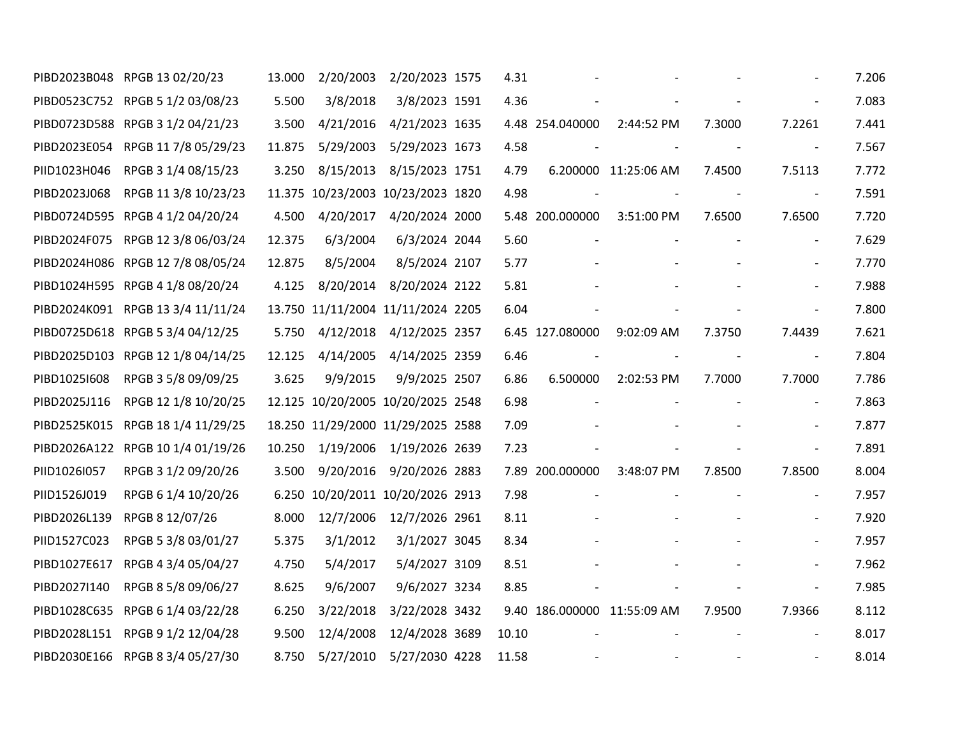|              | PIBD2023B048 RPGB 13 02/20/23     | 13.000 | 2/20/2003 | 2/20/2023 1575                    | 4.31  |                          |                             |            |                          | 7.206 |
|--------------|-----------------------------------|--------|-----------|-----------------------------------|-------|--------------------------|-----------------------------|------------|--------------------------|-------|
|              | PIBD0523C752 RPGB 5 1/2 03/08/23  | 5.500  | 3/8/2018  | 3/8/2023 1591                     | 4.36  |                          |                             |            |                          | 7.083 |
|              | PIBD0723D588 RPGB 3 1/2 04/21/23  | 3.500  | 4/21/2016 | 4/21/2023 1635                    |       | 4.48 254.040000          | 2:44:52 PM                  | 7.3000     | 7.2261                   | 7.441 |
|              | PIBD2023E054 RPGB 11 7/8 05/29/23 | 11.875 | 5/29/2003 | 5/29/2023 1673                    | 4.58  |                          |                             | $\sim$ $-$ | $\mathbb{L}$             | 7.567 |
| PIID1023H046 | RPGB 3 1/4 08/15/23               | 3.250  | 8/15/2013 | 8/15/2023 1751                    | 4.79  |                          | 6.200000 11:25:06 AM        | 7.4500     | 7.5113                   | 7.772 |
| PIBD2023J068 | RPGB 11 3/8 10/23/23              |        |           | 11.375 10/23/2003 10/23/2023 1820 | 4.98  | $\overline{\phantom{a}}$ | $\sim$ $-$                  | $\sim$ $-$ | $\overline{\phantom{a}}$ | 7.591 |
|              | PIBD0724D595 RPGB 4 1/2 04/20/24  | 4.500  | 4/20/2017 | 4/20/2024 2000                    |       | 5.48 200.000000          | 3:51:00 PM                  | 7.6500     | 7.6500                   | 7.720 |
|              | PIBD2024F075 RPGB 12 3/8 06/03/24 | 12.375 | 6/3/2004  | 6/3/2024 2044                     | 5.60  |                          |                             |            | $\overline{\phantom{a}}$ | 7.629 |
|              | PIBD2024H086 RPGB 12 7/8 08/05/24 | 12.875 | 8/5/2004  | 8/5/2024 2107                     | 5.77  |                          |                             |            | $\overline{\phantom{a}}$ | 7.770 |
|              | PIBD1024H595 RPGB 4 1/8 08/20/24  | 4.125  |           | 8/20/2014 8/20/2024 2122          | 5.81  |                          |                             |            | $\overline{\phantom{a}}$ | 7.988 |
|              | PIBD2024K091 RPGB 13 3/4 11/11/24 |        |           | 13.750 11/11/2004 11/11/2024 2205 | 6.04  |                          |                             |            |                          | 7.800 |
|              | PIBD0725D618 RPGB 5 3/4 04/12/25  | 5.750  |           | 4/12/2018 4/12/2025 2357          |       | 6.45 127.080000          | 9:02:09 AM                  | 7.3750     | 7.4439                   | 7.621 |
|              | PIBD2025D103 RPGB 12 1/8 04/14/25 | 12.125 | 4/14/2005 | 4/14/2025 2359                    | 6.46  |                          |                             |            | $\sim$                   | 7.804 |
| PIBD10251608 | RPGB 3 5/8 09/09/25               | 3.625  | 9/9/2015  | 9/9/2025 2507                     | 6.86  | 6.500000                 | 2:02:53 PM                  | 7.7000     | 7.7000                   | 7.786 |
| PIBD2025J116 | RPGB 12 1/8 10/20/25              |        |           | 12.125 10/20/2005 10/20/2025 2548 | 6.98  |                          |                             |            | $\blacksquare$           | 7.863 |
|              | PIBD2525K015 RPGB 18 1/4 11/29/25 |        |           | 18.250 11/29/2000 11/29/2025 2588 | 7.09  |                          |                             |            | $\overline{\phantom{a}}$ | 7.877 |
|              | PIBD2026A122 RPGB 10 1/4 01/19/26 | 10.250 |           | 1/19/2006 1/19/2026 2639          | 7.23  |                          |                             |            | $\overline{\phantom{a}}$ | 7.891 |
| PIID1026I057 | RPGB 3 1/2 09/20/26               | 3.500  | 9/20/2016 | 9/20/2026 2883                    |       | 7.89 200.000000          | 3:48:07 PM                  | 7.8500     | 7.8500                   | 8.004 |
| PIID1526J019 | RPGB 6 1/4 10/20/26               |        |           | 6.250 10/20/2011 10/20/2026 2913  | 7.98  |                          |                             |            | $\overline{\phantom{a}}$ | 7.957 |
| PIBD2026L139 | RPGB 8 12/07/26                   | 8.000  | 12/7/2006 | 12/7/2026 2961                    | 8.11  |                          |                             |            | $\overline{\phantom{a}}$ | 7.920 |
| PIID1527C023 | RPGB 5 3/8 03/01/27               | 5.375  | 3/1/2012  | 3/1/2027 3045                     | 8.34  |                          |                             |            | $\overline{\phantom{a}}$ | 7.957 |
|              | PIBD1027E617 RPGB 4 3/4 05/04/27  | 4.750  | 5/4/2017  | 5/4/2027 3109                     | 8.51  |                          |                             |            |                          | 7.962 |
| PIBD2027I140 | RPGB 8 5/8 09/06/27               | 8.625  | 9/6/2007  | 9/6/2027 3234                     | 8.85  |                          |                             |            | $\blacksquare$           | 7.985 |
|              | PIBD1028C635 RPGB 6 1/4 03/22/28  | 6.250  | 3/22/2018 | 3/22/2028 3432                    |       |                          | 9.40 186.000000 11:55:09 AM | 7.9500     | 7.9366                   | 8.112 |
|              | PIBD2028L151 RPGB 9 1/2 12/04/28  | 9.500  | 12/4/2008 | 12/4/2028 3689                    | 10.10 |                          |                             |            | $\overline{\phantom{a}}$ | 8.017 |
|              | PIBD2030E166 RPGB 8 3/4 05/27/30  | 8.750  | 5/27/2010 | 5/27/2030 4228                    | 11.58 |                          |                             |            |                          | 8.014 |